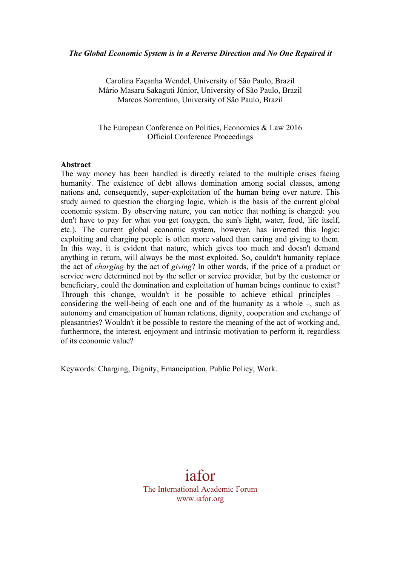### *The Global Economic System is in a Reverse Direction and No One Repaired it*

Carolina Façanha Wendel, University of São Paulo, Brazil Mário Masaru Sakaguti Júnior, University of São Paulo, Brazil Marcos Sorrentino, University of São Paulo, Brazil

The European Conference on Politics, Economics & Law 2016 Official Conference Proceedings

### **Abstract**

The way money has been handled is directly related to the multiple crises facing humanity. The existence of debt allows domination among social classes, among nations and, consequently, super-exploitation of the human being over nature. This study aimed to question the charging logic, which is the basis of the current global economic system. By observing nature, you can notice that nothing is charged: you don't have to pay for what you get (oxygen, the sun's light, water, food, life itself, etc.). The current global economic system, however, has inverted this logic: exploiting and charging people is often more valued than caring and giving to them. In this way, it is evident that nature, which gives too much and doesn't demand anything in return, will always be the most exploited. So, couldn't humanity replace the act of *charging* by the act of *giving*? In other words, if the price of a product or service were determined not by the seller or service provider, but by the customer or beneficiary, could the domination and exploitation of human beings continue to exist? Through this change, wouldn't it be possible to achieve ethical principles – considering the well-being of each one and of the humanity as a whole –, such as autonomy and emancipation of human relations, dignity, cooperation and exchange of pleasantries? Wouldn't it be possible to restore the meaning of the act of working and, furthermore, the interest, enjoyment and intrinsic motivation to perform it, regardless of its economic value?

Keywords: Charging, Dignity, Emancipation, Public Policy, Work.

iafor The International Academic Forum www.iafor.org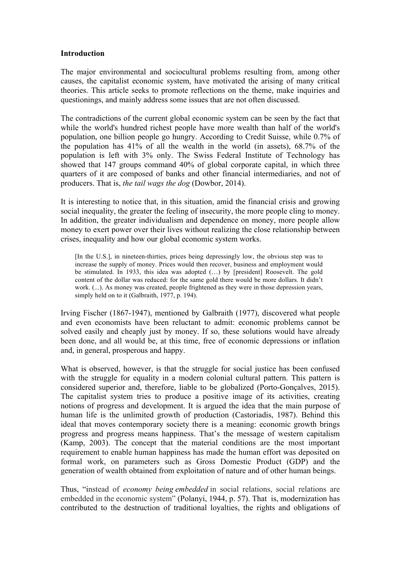## **Introduction**

The major environmental and sociocultural problems resulting from, among other causes, the capitalist economic system, have motivated the arising of many critical theories. This article seeks to promote reflections on the theme, make inquiries and questionings, and mainly address some issues that are not often discussed.

The contradictions of the current global economic system can be seen by the fact that while the world's hundred richest people have more wealth than half of the world's population, one billion people go hungry. According to Credit Suisse, while 0.7% of the population has 41% of all the wealth in the world (in assets), 68.7% of the population is left with 3% only. The Swiss Federal Institute of Technology has showed that 147 groups command 40% of global corporate capital, in which three quarters of it are composed of banks and other financial intermediaries, and not of producers. That is, *the tail wags the dog* (Dowbor, 2014).

It is interesting to notice that, in this situation, amid the financial crisis and growing social inequality, the greater the feeling of insecurity, the more people cling to money. In addition, the greater individualism and dependence on money, more people allow money to exert power over their lives without realizing the close relationship between crises, inequality and how our global economic system works.

[In the U.S.], in nineteen-thirties, prices being depressingly low, the obvious step was to increase the supply of money. Prices would then recover, business and employment would be stimulated. In 1933, this idea was adopted (…) by [president] Roosevelt. The gold content of the dollar was reduced: for the same gold there would be more dollars. It didn't work. (...). As money was created, people frightened as they were in those depression years, simply held on to it (Galbraith, 1977, p. 194).

Irving Fischer (1867-1947), mentioned by Galbraith (1977), discovered what people and even economists have been reluctant to admit: economic problems cannot be solved easily and cheaply just by money. If so, these solutions would have already been done, and all would be, at this time, free of economic depressions or inflation and, in general, prosperous and happy.

What is observed, however, is that the struggle for social justice has been confused with the struggle for equality in a modern colonial cultural pattern. This pattern is considered superior and, therefore, liable to be globalized (Porto-Gonçalves, 2015). The capitalist system tries to produce a positive image of its activities, creating notions of progress and development. It is argued the idea that the main purpose of human life is the unlimited growth of production (Castoriadis, 1987). Behind this ideal that moves contemporary society there is a meaning: economic growth brings progress and progress means happiness. That's the message of western capitalism (Kamp, 2003). The concept that the material conditions are the most important requirement to enable human happiness has made the human effort was deposited on formal work, on parameters such as Gross Domestic Product (GDP) and the generation of wealth obtained from exploitation of nature and of other human beings.

Thus, "instead of *economy being embedded* in social relations, social relations are embedded in the economic system" (Polanyi, 1944, p. 57). That is, modernization has contributed to the destruction of traditional loyalties, the rights and obligations of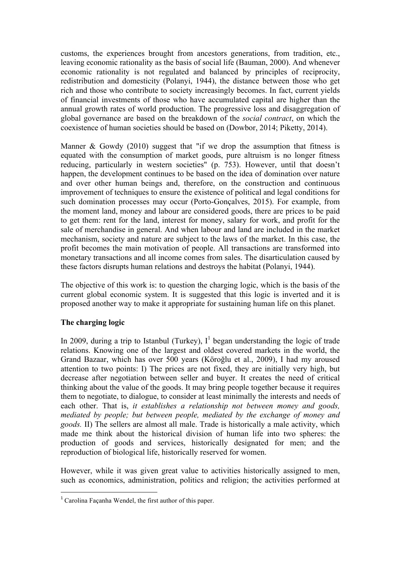customs, the experiences brought from ancestors generations, from tradition, etc., leaving economic rationality as the basis of social life (Bauman, 2000). And whenever economic rationality is not regulated and balanced by principles of reciprocity, redistribution and domesticity (Polanyi, 1944), the distance between those who get rich and those who contribute to society increasingly becomes. In fact, current yields of financial investments of those who have accumulated capital are higher than the annual growth rates of world production. The progressive loss and disaggregation of global governance are based on the breakdown of the *social contract*, on which the coexistence of human societies should be based on (Dowbor, 2014; Piketty, 2014).

Manner  $\&$  Gowdy (2010) suggest that "if we drop the assumption that fitness is equated with the consumption of market goods, pure altruism is no longer fitness reducing, particularly in western societies" (p. 753). However, until that doesn't happen, the development continues to be based on the idea of domination over nature and over other human beings and, therefore, on the construction and continuous improvement of techniques to ensure the existence of political and legal conditions for such domination processes may occur (Porto-Gonçalves, 2015). For example, from the moment land, money and labour are considered goods, there are prices to be paid to get them: rent for the land, interest for money, salary for work, and profit for the sale of merchandise in general. And when labour and land are included in the market mechanism, society and nature are subject to the laws of the market. In this case, the profit becomes the main motivation of people. All transactions are transformed into monetary transactions and all income comes from sales. The disarticulation caused by these factors disrupts human relations and destroys the habitat (Polanyi, 1944).

The objective of this work is: to question the charging logic, which is the basis of the current global economic system. It is suggested that this logic is inverted and it is proposed another way to make it appropriate for sustaining human life on this planet.

# **The charging logic**

 $\overline{a}$ 

In 2009, during a trip to Istanbul (Turkey),  $I^1$  began understanding the logic of trade relations. Knowing one of the largest and oldest covered markets in the world, the Grand Bazaar, which has over 500 years (Köroğlu et al., 2009), I had my aroused attention to two points: I) The prices are not fixed, they are initially very high, but decrease after negotiation between seller and buyer. It creates the need of critical thinking about the value of the goods. It may bring people together because it requires them to negotiate, to dialogue, to consider at least minimally the interests and needs of each other. That is, *it establishes a relationship not between money and goods, mediated by people; but between people, mediated by the exchange of money and goods.* II) The sellers are almost all male. Trade is historically a male activity, which made me think about the historical division of human life into two spheres: the production of goods and services, historically designated for men; and the reproduction of biological life, historically reserved for women.

However, while it was given great value to activities historically assigned to men, such as economics, administration, politics and religion; the activities performed at

<sup>1</sup> Carolina Façanha Wendel, the first author of this paper.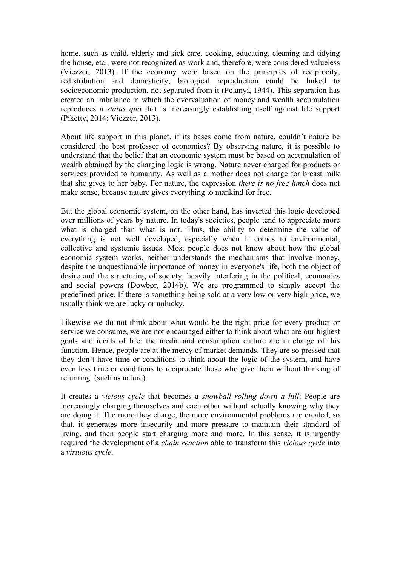home, such as child, elderly and sick care, cooking, educating, cleaning and tidying the house, etc., were not recognized as work and, therefore, were considered valueless (Viezzer, 2013). If the economy were based on the principles of reciprocity, redistribution and domesticity; biological reproduction could be linked to socioeconomic production, not separated from it (Polanyi, 1944). This separation has created an imbalance in which the overvaluation of money and wealth accumulation reproduces a *status quo* that is increasingly establishing itself against life support (Piketty, 2014; Viezzer, 2013).

About life support in this planet, if its bases come from nature, couldn't nature be considered the best professor of economics? By observing nature, it is possible to understand that the belief that an economic system must be based on accumulation of wealth obtained by the charging logic is wrong. Nature never charged for products or services provided to humanity. As well as a mother does not charge for breast milk that she gives to her baby. For nature, the expression *there is no free lunch* does not make sense, because nature gives everything to mankind for free.

But the global economic system, on the other hand, has inverted this logic developed over millions of years by nature. In today's societies, people tend to appreciate more what is charged than what is not. Thus, the ability to determine the value of everything is not well developed, especially when it comes to environmental, collective and systemic issues. Most people does not know about how the global economic system works, neither understands the mechanisms that involve money, despite the unquestionable importance of money in everyone's life, both the object of desire and the structuring of society, heavily interfering in the political, economics and social powers (Dowbor, 2014b). We are programmed to simply accept the predefined price. If there is something being sold at a very low or very high price, we usually think we are lucky or unlucky.

Likewise we do not think about what would be the right price for every product or service we consume, we are not encouraged either to think about what are our highest goals and ideals of life: the media and consumption culture are in charge of this function. Hence, people are at the mercy of market demands. They are so pressed that they don't have time or conditions to think about the logic of the system, and have even less time or conditions to reciprocate those who give them without thinking of returning (such as nature).

It creates a *vicious cycle* that becomes a *snowball rolling down a hill*: People are increasingly charging themselves and each other without actually knowing why they are doing it. The more they charge, the more environmental problems are created, so that, it generates more insecurity and more pressure to maintain their standard of living, and then people start charging more and more. In this sense, it is urgently required the development of a *chain reaction* able to transform this *vicious cycle* into a *virtuous cycle*.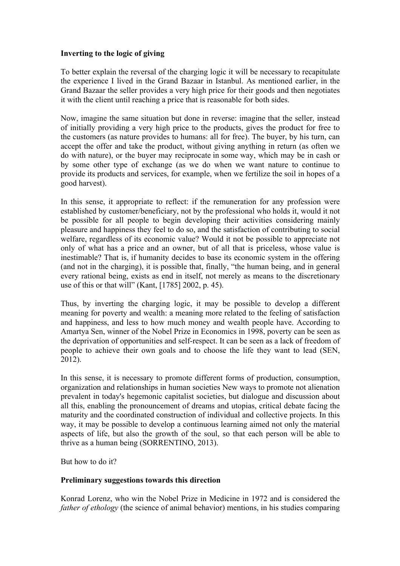## **Inverting to the logic of giving**

To better explain the reversal of the charging logic it will be necessary to recapitulate the experience I lived in the Grand Bazaar in Istanbul. As mentioned earlier, in the Grand Bazaar the seller provides a very high price for their goods and then negotiates it with the client until reaching a price that is reasonable for both sides.

Now, imagine the same situation but done in reverse: imagine that the seller, instead of initially providing a very high price to the products, gives the product for free to the customers (as nature provides to humans: all for free). The buyer, by his turn, can accept the offer and take the product, without giving anything in return (as often we do with nature), or the buyer may reciprocate in some way, which may be in cash or by some other type of exchange (as we do when we want nature to continue to provide its products and services, for example, when we fertilize the soil in hopes of a good harvest).

In this sense, it appropriate to reflect: if the remuneration for any profession were established by customer/beneficiary, not by the professional who holds it, would it not be possible for all people to begin developing their activities considering mainly pleasure and happiness they feel to do so, and the satisfaction of contributing to social welfare, regardless of its economic value? Would it not be possible to appreciate not only of what has a price and an owner, but of all that is priceless, whose value is inestimable? That is, if humanity decides to base its economic system in the offering (and not in the charging), it is possible that, finally, "the human being, and in general every rational being, exists as end in itself, not merely as means to the discretionary use of this or that will" (Kant, [1785] 2002, p. 45).

Thus, by inverting the charging logic, it may be possible to develop a different meaning for poverty and wealth: a meaning more related to the feeling of satisfaction and happiness, and less to how much money and wealth people have. According to Amartya Sen, winner of the Nobel Prize in Economics in 1998, poverty can be seen as the deprivation of opportunities and self-respect. It can be seen as a lack of freedom of people to achieve their own goals and to choose the life they want to lead (SEN, 2012).

In this sense, it is necessary to promote different forms of production, consumption, organization and relationships in human societies New ways to promote not alienation prevalent in today's hegemonic capitalist societies, but dialogue and discussion about all this, enabling the pronouncement of dreams and utopias, critical debate facing the maturity and the coordinated construction of individual and collective projects. In this way, it may be possible to develop a continuous learning aimed not only the material aspects of life, but also the growth of the soul, so that each person will be able to thrive as a human being (SORRENTINO, 2013).

But how to do it?

# **Preliminary suggestions towards this direction**

Konrad Lorenz, who win the Nobel Prize in Medicine in 1972 and is considered the *father of ethology* (the science of animal behavior) mentions, in his studies comparing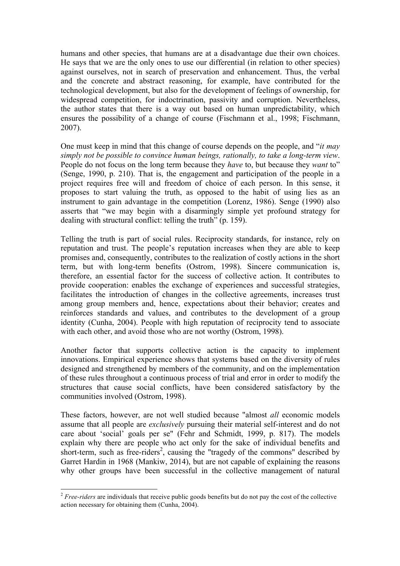humans and other species, that humans are at a disadvantage due their own choices. He says that we are the only ones to use our differential (in relation to other species) against ourselves, not in search of preservation and enhancement. Thus, the verbal and the concrete and abstract reasoning, for example, have contributed for the technological development, but also for the development of feelings of ownership, for widespread competition, for indoctrination, passivity and corruption. Nevertheless, the author states that there is a way out based on human unpredictability, which ensures the possibility of a change of course (Fischmann et al., 1998; Fischmann, 2007).

One must keep in mind that this change of course depends on the people, and "*it may simply not be possible to convince human beings, rationally, to take a long-term view*. People do not focus on the long term because they *have* to, but because they *want* to" (Senge, 1990, p. 210). That is, the engagement and participation of the people in a project requires free will and freedom of choice of each person. In this sense, it proposes to start valuing the truth, as opposed to the habit of using lies as an instrument to gain advantage in the competition (Lorenz, 1986). Senge (1990) also asserts that "we may begin with a disarmingly simple yet profound strategy for dealing with structural conflict: telling the truth" (p. 159).

Telling the truth is part of social rules. Reciprocity standards, for instance, rely on reputation and trust. The people's reputation increases when they are able to keep promises and, consequently, contributes to the realization of costly actions in the short term, but with long-term benefits (Ostrom, 1998). Sincere communication is, therefore, an essential factor for the success of collective action. It contributes to provide cooperation: enables the exchange of experiences and successful strategies, facilitates the introduction of changes in the collective agreements, increases trust among group members and, hence, expectations about their behavior; creates and reinforces standards and values, and contributes to the development of a group identity (Cunha, 2004). People with high reputation of reciprocity tend to associate with each other, and avoid those who are not worthy (Ostrom, 1998).

Another factor that supports collective action is the capacity to implement innovations. Empirical experience shows that systems based on the diversity of rules designed and strengthened by members of the community, and on the implementation of these rules throughout a continuous process of trial and error in order to modify the structures that cause social conflicts, have been considered satisfactory by the communities involved (Ostrom, 1998).

These factors, however, are not well studied because "almost *all* economic models assume that all people are *exclusively* pursuing their material self-interest and do not care about 'social' goals per se" (Fehr and Schmidt, 1999, p. 817). The models explain why there are people who act only for the sake of individual benefits and short-term, such as free-riders<sup>2</sup>, causing the "tragedy of the commons" described by Garret Hardin in 1968 (Mankiw, 2014), but are not capable of explaining the reasons why other groups have been successful in the collective management of natural

<sup>&</sup>lt;sup>2</sup> *Free-riders* are individuals that receive public goods benefits but do not pay the cost of the collective action necessary for obtaining them (Cunha, 2004).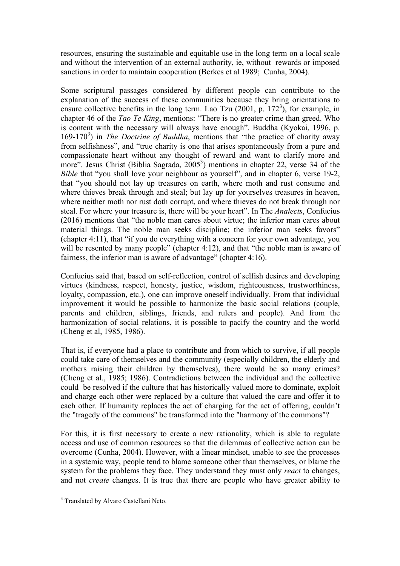resources, ensuring the sustainable and equitable use in the long term on a local scale and without the intervention of an external authority, ie, without rewards or imposed sanctions in order to maintain cooperation (Berkes et al 1989; Cunha, 2004).

Some scriptural passages considered by different people can contribute to the explanation of the success of these communities because they bring orientations to ensure collective benefits in the long term. Lao Tzu  $(2001, p. 172<sup>3</sup>)$ , for example, in chapter 46 of the *Tao Te King*, mentions: "There is no greater crime than greed. Who is content with the necessary will always have enough". Buddha (Kyokai, 1996, p. 169-170<sup>3</sup>) in *The Doctrine of Buddha*, mentions that "the practice of charity away from selfishness", and "true charity is one that arises spontaneously from a pure and compassionate heart without any thought of reward and want to clarify more and more". Jesus Christ (Biblia Sagrada,  $2005^3$ ) mentions in chapter 22, verse 34 of the *Bible* that "you shall love your neighbour as yourself", and in chapter 6, verse 19-2, that "you should not lay up treasures on earth, where moth and rust consume and where thieves break through and steal; but lay up for yourselves treasures in heaven, where neither moth nor rust doth corrupt, and where thieves do not break through nor steal. For where your treasure is, there will be your heart". In The *Analects*, Confucius (2016) mentions that "the noble man cares about virtue; the inferior man cares about material things. The noble man seeks discipline; the inferior man seeks favors" (chapter 4:11), that "if you do everything with a concern for your own advantage, you will be resented by many people" (chapter 4:12), and that "the noble man is aware of fairness, the inferior man is aware of advantage" (chapter 4:16).

Confucius said that, based on self-reflection, control of selfish desires and developing virtues (kindness, respect, honesty, justice, wisdom, righteousness, trustworthiness, loyalty, compassion, etc.), one can improve oneself individually. From that individual improvement it would be possible to harmonize the basic social relations (couple, parents and children, siblings, friends, and rulers and people). And from the harmonization of social relations, it is possible to pacify the country and the world (Cheng et al, 1985, 1986).

That is, if everyone had a place to contribute and from which to survive, if all people could take care of themselves and the community (especially children, the elderly and mothers raising their children by themselves), there would be so many crimes? (Cheng et al., 1985; 1986). Contradictions between the individual and the collective could be resolved if the culture that has historically valued more to dominate, exploit and charge each other were replaced by a culture that valued the care and offer it to each other. If humanity replaces the act of charging for the act of offering, couldn't the "tragedy of the commons" be transformed into the "harmony of the commons"?

For this, it is first necessary to create a new rationality, which is able to regulate access and use of common resources so that the dilemmas of collective action can be overcome (Cunha, 2004). However, with a linear mindset, unable to see the processes in a systemic way, people tend to blame someone other than themselves, or blame the system for the problems they face. They understand they must only *react* to changes, and not *create* changes. It is true that there are people who have greater ability to

<sup>&</sup>lt;sup>3</sup> Translated by Alvaro Castellani Neto.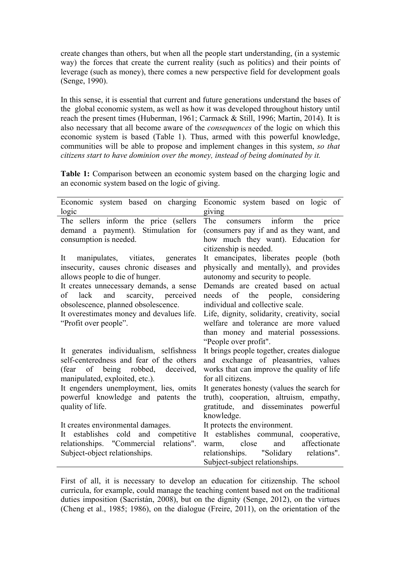create changes than others, but when all the people start understanding, (in a systemic way) the forces that create the current reality (such as politics) and their points of leverage (such as money), there comes a new perspective field for development goals (Senge, 1990).

In this sense, it is essential that current and future generations understand the bases of the global economic system, as well as how it was developed throughout history until reach the present times (Huberman, 1961; Carmack & Still, 1996; Martin, 2014). It is also necessary that all become aware of the *consequences* of the logic on which this economic system is based (Table 1). Thus, armed with this powerful knowledge, communities will be able to propose and implement changes in this system, *so that citizens start to have dominion over the money, instead of being dominated by it.*

**Table 1:** Comparison between an economic system based on the charging logic and an economic system based on the logic of giving.

| Economic system based on charging                                                                                                                                                                                                                                                                               | Economic system based on logic of                                                                                                                                                                                                                                                                                                                                                              |
|-----------------------------------------------------------------------------------------------------------------------------------------------------------------------------------------------------------------------------------------------------------------------------------------------------------------|------------------------------------------------------------------------------------------------------------------------------------------------------------------------------------------------------------------------------------------------------------------------------------------------------------------------------------------------------------------------------------------------|
| logic                                                                                                                                                                                                                                                                                                           | giving                                                                                                                                                                                                                                                                                                                                                                                         |
| The sellers inform the price (sellers<br>demand a payment). Stimulation for<br>consumption is needed.                                                                                                                                                                                                           | The consumers inform<br>the<br>price<br>(consumers pay if and as they want, and<br>how much they want). Education for<br>citizenship is needed.                                                                                                                                                                                                                                                |
| manipulates, vitiates, generates<br>It<br>insecurity, causes chronic diseases and<br>allows people to die of hunger.<br>It creates unnecessary demands, a sense<br>of lack and scarcity, perceived<br>obsolescence, planned obsolescence.<br>It overestimates money and devalues life.<br>"Profit over people". | It emancipates, liberates people (both<br>physically and mentally), and provides<br>autonomy and security to people.<br>Demands are created based on actual<br>needs of the people, considering<br>individual and collective scale.<br>Life, dignity, solidarity, creativity, social<br>welfare and tolerance are more valued<br>than money and material possessions.<br>"People over profit". |
| It generates individualism, selfishness<br>self-centeredness and fear of the others<br>(fear of being robbed, deceived,<br>manipulated, exploited, etc.).<br>It engenders unemployment, lies, omits<br>powerful knowledge and patents the<br>quality of life.                                                   | It brings people together, creates dialogue<br>and exchange of pleasantries, values<br>works that can improve the quality of life<br>for all citizens.<br>It generates honesty (values the search for<br>truth), cooperation, altruism, empathy,<br>gratitude, and disseminates powerful<br>knowledge.                                                                                         |
| It creates environmental damages.<br>establishes cold and competitive<br>It<br>relationships. "Commercial relations".<br>Subject-object relationships.                                                                                                                                                          | It protects the environment.<br>It establishes communal,<br>cooperative,<br>affectionate<br>and<br>close<br>warm,<br>relationships. "Solidary relations".<br>Subject-subject relationships.                                                                                                                                                                                                    |

First of all, it is necessary to develop an education for citizenship. The school curricula, for example, could manage the teaching content based not on the traditional duties imposition (Sacristán, 2008), but on the dignity (Senge, 2012), on the virtues (Cheng et al., 1985; 1986), on the dialogue (Freire, 2011), on the orientation of the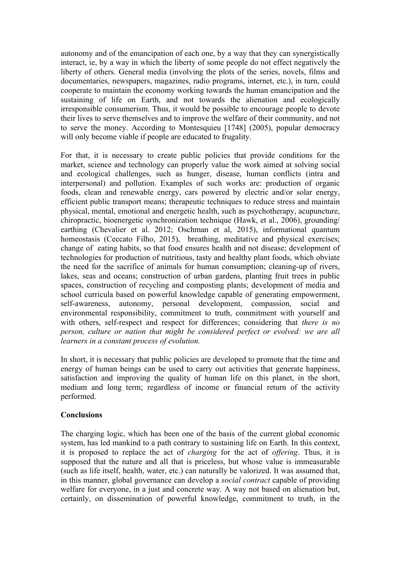autonomy and of the emancipation of each one, by a way that they can synergistically interact, ie, by a way in which the liberty of some people do not effect negatively the liberty of others. General media (involving the plots of the series, novels, films and documentaries, newspapers, magazines, radio programs, internet, etc.), in turn, could cooperate to maintain the economy working towards the human emancipation and the sustaining of life on Earth, and not towards the alienation and ecologically irresponsible consumerism. Thus, it would be possible to encourage people to devote their lives to serve themselves and to improve the welfare of their community, and not to serve the money. According to Montesquieu [1748] (2005), popular democracy will only become viable if people are educated to frugality.

For that, it is necessary to create public policies that provide conditions for the market, science and technology can properly value the work aimed at solving social and ecological challenges, such as hunger, disease, human conflicts (intra and interpersonal) and pollution. Examples of such works are: production of organic foods, clean and renewable energy, cars powered by electric and/or solar energy, efficient public transport means; therapeutic techniques to reduce stress and maintain physical, mental, emotional and energetic health, such as psychotherapy, acupuncture, chiropractic, bioenergetic synchronization technique (Hawk, et al., 2006), grounding/ earthing (Chevalier et al. 2012; Oschman et al, 2015), informational quantum homeostasis (Ceccato Filho, 2015), breathing, meditative and physical exercises; change of eating habits, so that food ensures health and not disease; development of technologies for production of nutritious, tasty and healthy plant foods, which obviate the need for the sacrifice of animals for human consumption; cleaning-up of rivers, lakes, seas and oceans; construction of urban gardens, planting fruit trees in public spaces, construction of recycling and composting plants; development of media and school curricula based on powerful knowledge capable of generating empowerment, self-awareness, autonomy, personal development, compassion, social and environmental responsibility, commitment to truth, commitment with yourself and with others, self-respect and respect for differences; considering that *there is no person, culture or nation that might be considered perfect or evolved: we are all learners in a constant process of evolution.*

In short, it is necessary that public policies are developed to promote that the time and energy of human beings can be used to carry out activities that generate happiness, satisfaction and improving the quality of human life on this planet, in the short, medium and long term; regardless of income or financial return of the activity performed.

## **Conclusions**

The charging logic, which has been one of the basis of the current global economic system, has led mankind to a path contrary to sustaining life on Earth. In this context, it is proposed to replace the act of *charging* for the act of *offering*. Thus, it is supposed that the nature and all that is priceless, but whose value is immeasurable (such as life itself, health, water, etc.) can naturally be valorized. It was assumed that, in this manner, global governance can develop a *social contract* capable of providing welfare for everyone, in a just and concrete way. A way not based on alienation but, certainly, on dissemination of powerful knowledge, commitment to truth, in the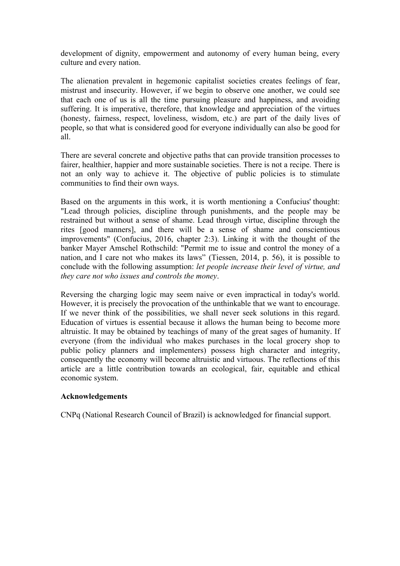development of dignity, empowerment and autonomy of every human being, every culture and every nation.

The alienation prevalent in hegemonic capitalist societies creates feelings of fear, mistrust and insecurity. However, if we begin to observe one another, we could see that each one of us is all the time pursuing pleasure and happiness, and avoiding suffering. It is imperative, therefore, that knowledge and appreciation of the virtues (honesty, fairness, respect, loveliness, wisdom, etc.) are part of the daily lives of people, so that what is considered good for everyone individually can also be good for all.

There are several concrete and objective paths that can provide transition processes to fairer, healthier, happier and more sustainable societies. There is not a recipe. There is not an only way to achieve it. The objective of public policies is to stimulate communities to find their own ways.

Based on the arguments in this work, it is worth mentioning a Confucius' thought: "Lead through policies, discipline through punishments, and the people may be restrained but without a sense of shame. Lead through virtue, discipline through the rites [good manners], and there will be a sense of shame and conscientious improvements" (Confucius, 2016, chapter 2:3). Linking it with the thought of the banker Mayer Amschel Rothschild: "Permit me to issue and control the money of a nation, and I care not who makes its laws" (Tiessen, 2014, p. 56), it is possible to conclude with the following assumption: *let people increase their level of virtue, and they care not who issues and controls the money*.

Reversing the charging logic may seem naive or even impractical in today's world. However, it is precisely the provocation of the unthinkable that we want to encourage. If we never think of the possibilities, we shall never seek solutions in this regard. Education of virtues is essential because it allows the human being to become more altruistic. It may be obtained by teachings of many of the great sages of humanity. If everyone (from the individual who makes purchases in the local grocery shop to public policy planners and implementers) possess high character and integrity, consequently the economy will become altruistic and virtuous. The reflections of this article are a little contribution towards an ecological, fair, equitable and ethical economic system.

# **Acknowledgements**

CNPq (National Research Council of Brazil) is acknowledged for financial support.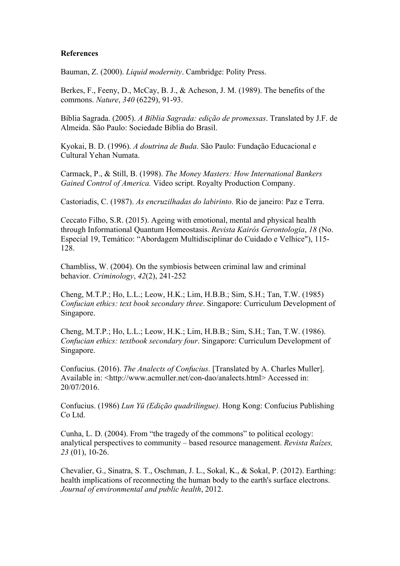## **References**

Bauman, Z. (2000). *Liquid modernity*. Cambridge: Polity Press.

Berkes, F., Feeny, D., McCay, B. J., & Acheson, J. M. (1989). The benefits of the commons. *Nature*, *340* (6229), 91-93.

Bíblia Sagrada. (2005). *A Bíblia Sagrada: edição de promessas*. Translated by J.F. de Almeida. São Paulo: Sociedade Bíblia do Brasil.

Kyokai, B. D. (1996). *A doutrina de Buda*. São Paulo: Fundação Educacional e Cultural Yehan Numata.

Carmack, P., & Still, B. (1998). *The Money Masters: How International Bankers Gained Control of America.* Video script. Royalty Production Company.

Castoriadis, C. (1987). *As encruzilhadas do labirinto*. Rio de janeiro: Paz e Terra.

Ceccato Filho, S.R. (2015). Ageing with emotional, mental and physical health through Informational Quantum Homeostasis. *Revista Kairós Gerontologia*, *18* (No. Especial 19, Temático: "Abordagem Multidisciplinar do Cuidado e Velhice"), 115- 128.

Chambliss, W. (2004). On the symbiosis between criminal law and criminal behavior. *Criminology*, *42*(2), 241-252

Cheng, M.T.P.; Ho, L.L.; Leow, H.K.; Lim, H.B.B.; Sim, S.H.; Tan, T.W. (1985) *Confucian ethics: text book secondary three*. Singapore: Curriculum Development of Singapore.

Cheng, M.T.P.; Ho, L.L.; Leow, H.K.; Lim, H.B.B.; Sim, S.H.; Tan, T.W. (1986). *Confucian ethics: textbook secondary four*. Singapore: Curriculum Development of Singapore.

Confucius. (2016). *The Analects of Confucius.* [Translated by A. Charles Muller]. Available in: <http://www.acmuller.net/con-dao/analects.html> Accessed in: 20/07/2016.

Confucius. (1986) *Lun Yü (Edição quadrilíngue).* Hong Kong: Confucius Publishing Co Ltd.

Cunha, L. D. (2004). From "the tragedy of the commons" to political ecology: analytical perspectives to community – based resource management. *Revista Raízes, 23* (01), 10-26.

Chevalier, G., Sinatra, S. T., Oschman, J. L., Sokal, K., & Sokal, P. (2012). Earthing: health implications of reconnecting the human body to the earth's surface electrons. *Journal of environmental and public health*, 2012.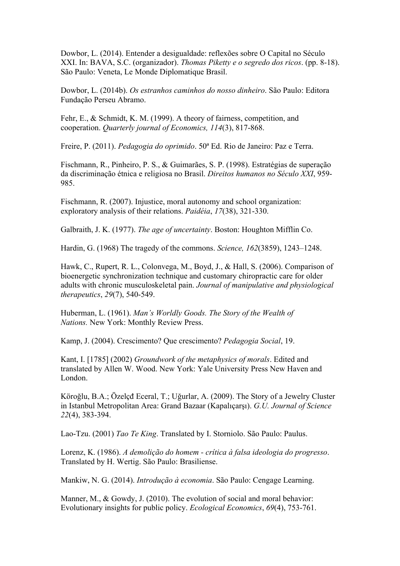Dowbor, L. (2014). Entender a desigualdade: reflexões sobre O Capital no Século XXI. In: BAVA, S.C. (organizador). *Thomas Piketty e o segredo dos ricos*. (pp. 8-18). São Paulo: Veneta, Le Monde Diplomatique Brasil.

Dowbor, L. (2014b). *Os estranhos caminhos do nosso dinheiro*. São Paulo: Editora Fundação Perseu Abramo.

Fehr, E., & Schmidt, K. M. (1999). A theory of fairness, competition, and cooperation. *Quarterly journal of Economics, 114*(3), 817-868.

Freire, P. (2011). *Pedagogia do oprimido*. 50ª Ed. Rio de Janeiro: Paz e Terra.

Fischmann, R., Pinheiro, P. S., & Guimarães, S. P. (1998). Estratégias de superação da discriminação étnica e religiosa no Brasil. *Direitos humanos no Século XXI*, 959- 985.

Fischmann, R. (2007). Injustice, moral autonomy and school organization: exploratory analysis of their relations. *Paidéia*, *17*(38), 321-330.

Galbraith, J. K. (1977). *The age of uncertainty*. Boston: Houghton Mifflin Co.

Hardin, G. (1968) The tragedy of the commons. *Science, 162*(3859), 1243–1248.

Hawk, C., Rupert, R. L., Colonvega, M., Boyd, J., & Hall, S. (2006). Comparison of bioenergetic synchronization technique and customary chiropractic care for older adults with chronic musculoskeletal pain. *Journal of manipulative and physiological therapeutics*, *29*(7), 540-549.

Huberman, L. (1961). *Man's Worldly Goods. The Story of the Wealth of Nations.* New York: Monthly Review Press.

Kamp, J. (2004). Crescimento? Que crescimento? *Pedagogia Social*, 19.

Kant, I. [1785] (2002) *Groundwork of the metaphysics of morals*. Edited and translated by Allen W. Wood. New York: Yale University Press New Haven and London.

Köroğlu, B.A.; Özelçđ Eceral, T.; Uğurlar, A. (2009). The Story of a Jewelry Cluster in Istanbul Metropolitan Area: Grand Bazaar (Kapalıçarşı). *G.U. Journal of Science 22*(4), 383-394.

Lao-Tzu. (2001) *Tao Te King*. Translated by I. Storniolo. São Paulo: Paulus.

Lorenz, K. (1986). *A demolição do homem - crítica à falsa ideologia do progresso*. Translated by H. Wertig. São Paulo: Brasiliense.

Mankiw, N. G. (2014). *Introdução à economia*. São Paulo: Cengage Learning.

Manner, M., & Gowdy, J. (2010). The evolution of social and moral behavior: Evolutionary insights for public policy. *Ecological Economics*, *69*(4), 753-761.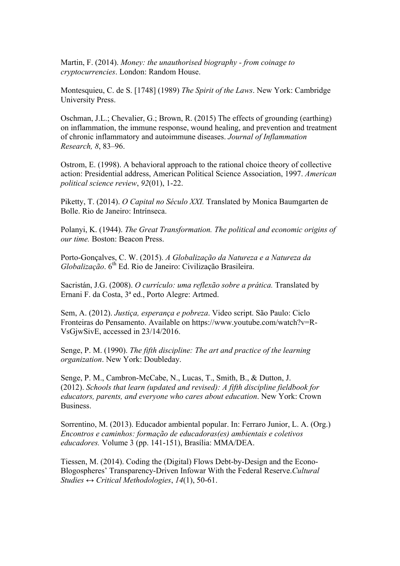Martin, F. (2014). *Money: the unauthorised biography - from coinage to cryptocurrencies*. London: Random House.

Montesquieu, C. de S. [1748] (1989) *The Spirit of the Laws*. New York: Cambridge University Press.

Oschman, J.L.; Chevalier, G.; Brown, R. (2015) The effects of grounding (earthing) on inflammation, the immune response, wound healing, and prevention and treatment of chronic inflammatory and autoimmune diseases. *Journal of Inflammation Research, 8*, 83–96.

Ostrom, E. (1998). A behavioral approach to the rational choice theory of collective action: Presidential address, American Political Science Association, 1997. *American political science review*, *92*(01), 1-22.

Piketty, T. (2014). *O Capital no Século XXI.* Translated by Monica Baumgarten de Bolle. Rio de Janeiro: Intrínseca.

Polanyi, K. (1944). *The Great Transformation. The political and economic origins of our time.* Boston: Beacon Press.

Porto-Gonçalves, C. W. (2015). *A Globalização da Natureza e a Natureza da Globalização*. 6<sup>th</sup> Ed. Rio de Janeiro: Civilização Brasileira.

Sacristán, J.G. (2008). *O currículo: uma reflexão sobre a prática.* Translated by Ernani F. da Costa, 3ª ed., Porto Alegre: Artmed.

Sem, A. (2012). *Justiça, esperança e pobreza*. Video script. São Paulo: Ciclo Fronteiras do Pensamento. Available on https://www.youtube.com/watch?v=R-VsGjwSivE, accessed in 23/14/2016.

Senge, P. M. (1990). *The fifth discipline: The art and practice of the learning organization*. New York: Doubleday.

Senge, P. M., Cambron-McCabe, N., Lucas, T., Smith, B., & Dutton, J. (2012). *Schools that learn (updated and revised): A fifth discipline fieldbook for educators, parents, and everyone who cares about education*. New York: Crown **Business** 

Sorrentino, M. (2013). Educador ambiental popular. In: Ferraro Junior, L. A. (Org.) *Encontros e caminhos: formação de educadoras(es) ambientais e coletivos educadores.* Volume 3 (pp. 141-151), Brasília: MMA/DEA.

Tiessen, M. (2014). Coding the (Digital) Flows Debt-by-Design and the Econo-Blogospheres' Transparency-Driven Infowar With the Federal Reserve.*Cultural Studies ↔ Critical Methodologies*, *14*(1), 50-61.